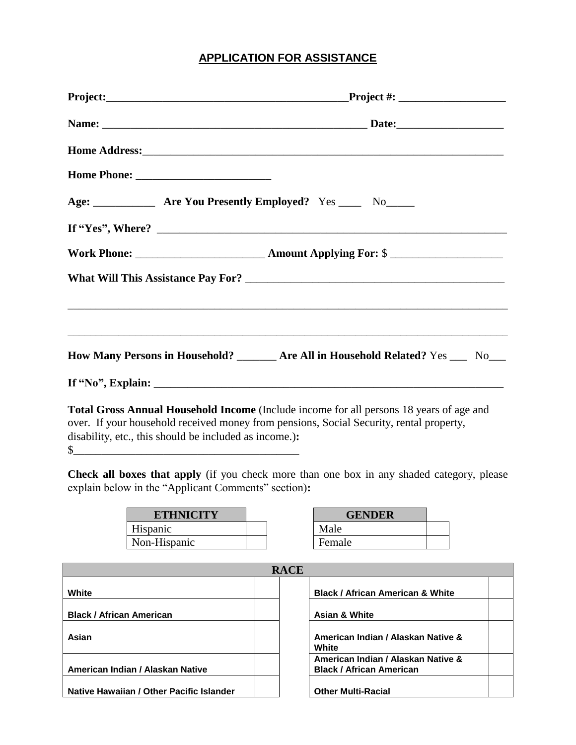## **APPLICATION FOR ASSISTANCE**

|  | Age: ______________ Are You Presently Employed? Yes _____ No_____                                                                                                                         |  |
|--|-------------------------------------------------------------------------------------------------------------------------------------------------------------------------------------------|--|
|  |                                                                                                                                                                                           |  |
|  |                                                                                                                                                                                           |  |
|  |                                                                                                                                                                                           |  |
|  |                                                                                                                                                                                           |  |
|  |                                                                                                                                                                                           |  |
|  | How Many Persons in Household? _______ Are All in Household Related? Yes ___ No___                                                                                                        |  |
|  |                                                                                                                                                                                           |  |
|  | <b>Total Gross Annual Household Income</b> (Include income for all persons 18 years of age and<br>over. If your household received money from pensions, Social Security, rental property, |  |

disability, etc., this should be included as income.)**:**

 $\frac{1}{2}$ 

**Check all boxes that apply** (if you check more than one box in any shaded category, please explain below in the "Applicant Comments" section)**:**

| <b>ETHNICITY</b> |  | <b>GENDER</b> |
|------------------|--|---------------|
| Hispanic         |  | Male          |
| Non-Hispanic     |  | Female        |
|                  |  |               |

| <b>RACE</b>                              |  |  |                                                                       |  |  |  |
|------------------------------------------|--|--|-----------------------------------------------------------------------|--|--|--|
| White                                    |  |  | <b>Black / African American &amp; White</b>                           |  |  |  |
| <b>Black / African American</b>          |  |  | <b>Asian &amp; White</b>                                              |  |  |  |
| Asian                                    |  |  | American Indian / Alaskan Native &<br>White                           |  |  |  |
| American Indian / Alaskan Native         |  |  | American Indian / Alaskan Native &<br><b>Black / African American</b> |  |  |  |
| Native Hawaiian / Other Pacific Islander |  |  | <b>Other Multi-Racial</b>                                             |  |  |  |